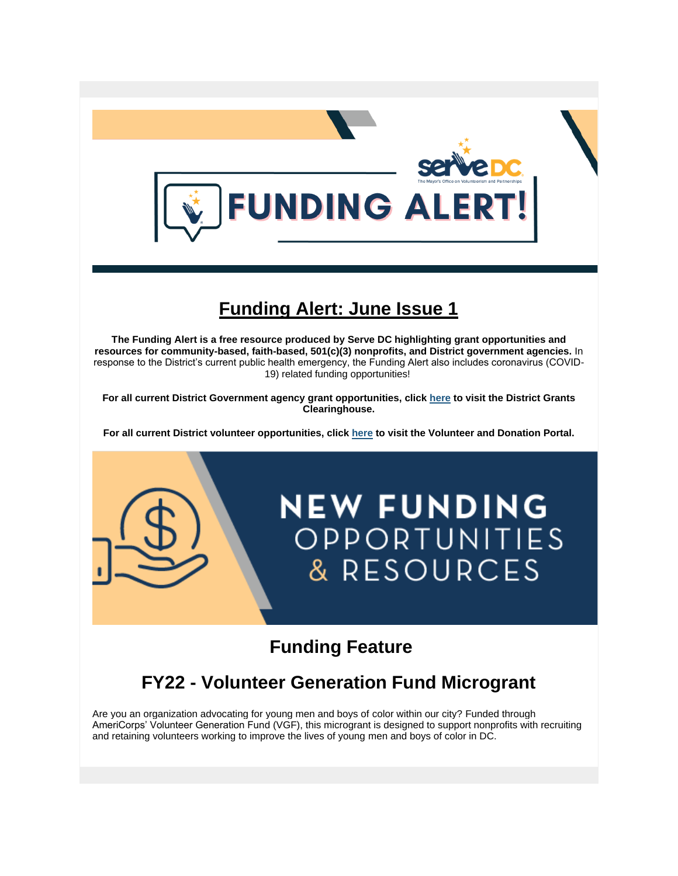

# **Funding Alert: June Issue 1**

**The Funding Alert is a free resource produced by Serve DC highlighting grant opportunities and resources for community-based, faith-based, 501(c)(3) nonprofits, and District government agencies.** In response to the District's current public health emergency, the Funding Alert also includes coronavirus (COVID-19) related funding opportunities!

**For all current District Government agency grant opportunities, click [here](https://opgs.dc.gov/page/opgs-district-grants-clearinghouse) to visit the District Grants Clearinghouse.**

**For all current District volunteer opportunities, click [here](https://servedc.galaxydigital.com/) to visit the Volunteer and Donation Portal.**



# **Funding Feature**

# **FY22 - Volunteer Generation Fund Microgrant**

Are you an organization advocating for young men and boys of color within our city? Funded through AmeriCorps' Volunteer Generation Fund (VGF), this microgrant is designed to support nonprofits with recruiting and retaining volunteers working to improve the lives of young men and boys of color in DC.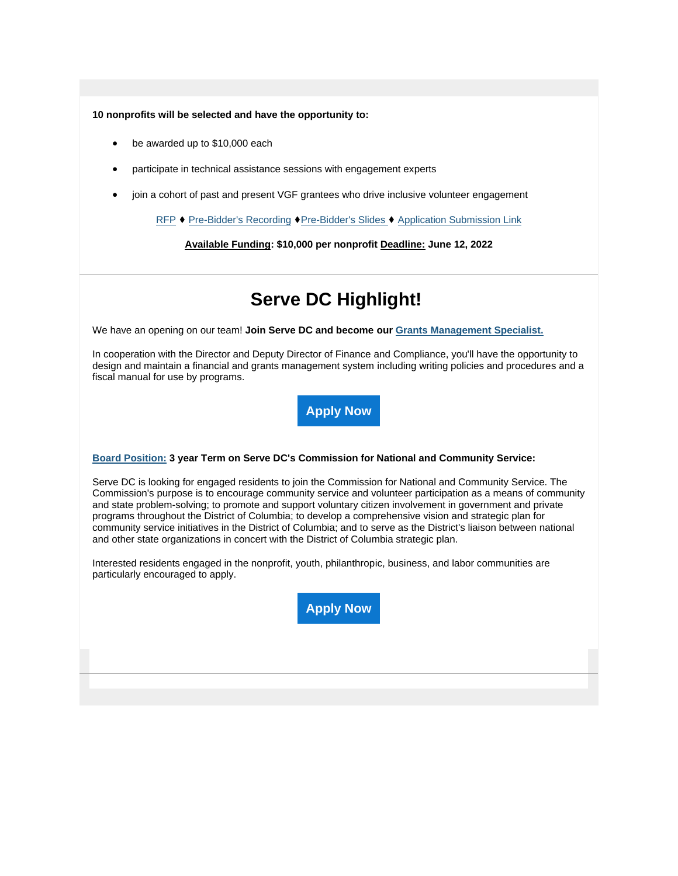**10 nonprofits will be selected and have the opportunity to:**

- be awarded up to \$10,000 each
- participate in technical assistance sessions with engagement experts
- join a cohort of past and present VGF grantees who drive inclusive volunteer engagement

[RFP](https://communityaffairs.dc.gov/sites/moca/files/u216/MBKVGF%20RFA%20-%206.1pdf.pdf) ♦ [Pre-Bidder's Recording](https://dcnet.webex.com/dcnet/ldr.php?RCID=054162cafe9ee6f9a57a72783a42a7a4) ♦[Pre-Bidder's Slides](https://communityaffairs.dc.gov/sites/moca/files/u216/VGF%20Pre-Bidder%27s%20Slides.pptx) ♦ [Application Submission Link](https://www.zoomgrants.com/gprop.asp?donorid=2343&rfpid=4093)

**Available Funding: \$10,000 per nonprofit Deadline: June 12, 2022**

# **Serve DC Highlight!**

We have an opening on our team! **Join Serve DC and become our Grants [Management](https://mota.applytojob.com/apply/bxd0SiypF2/Grants-Management-Specialist-Serve-DC) Specialist.**

In cooperation with the Director and Deputy Director of Finance and Compliance, you'll have the opportunity to design and maintain a financial and grants management system including writing policies and procedures and a fiscal manual for use by programs.



#### **[Board Position:](https://motaboards.applytojob.com/apply/ISOTHk/Commission-For-National-And-Community-Service) 3 year Term on Serve DC's Commission for National and Community Service:**

Serve DC is looking for engaged residents to join the Commission for National and Community Service. The Commission's purpose is to encourage community service and volunteer participation as a means of community and state problem-solving; to promote and support voluntary citizen involvement in government and private programs throughout the District of Columbia; to develop a comprehensive vision and strategic plan for community service initiatives in the District of Columbia; and to serve as the District's liaison between national and other state organizations in concert with the District of Columbia strategic plan.

Interested residents engaged in the nonprofit, youth, philanthropic, business, and labor communities are particularly encouraged to apply.

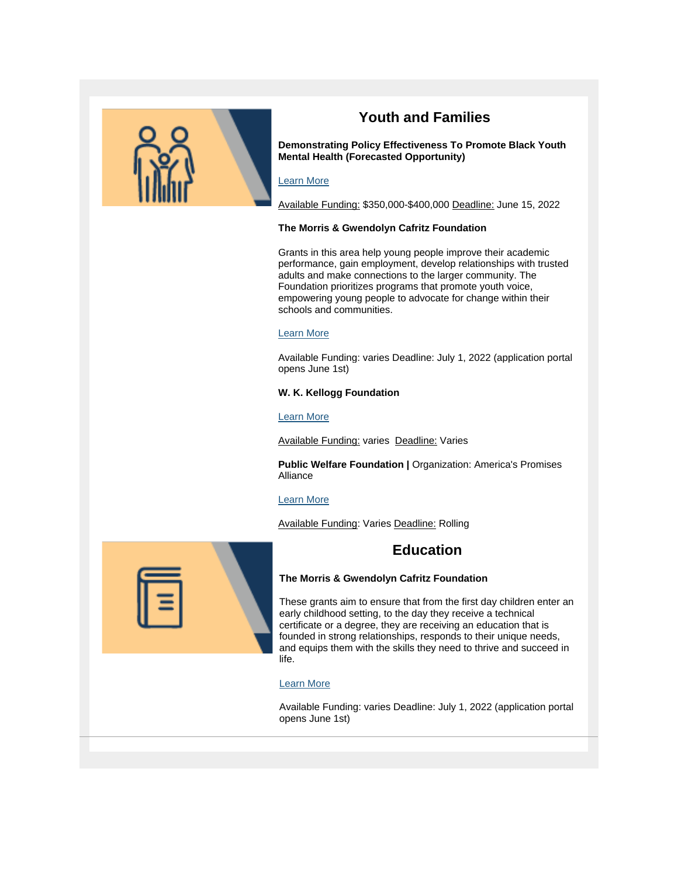

# **Youth and Families**

**Demonstrating Policy Effectiveness To Promote Black Youth Mental Health (Forecasted Opportunity)**

## [Learn More](https://www.grants.gov/web/grants/view-opportunity.html?oppId=334922)

Available Funding: \$350,000-\$400,000 Deadline: June 15, 2022

#### **The Morris & Gwendolyn Cafritz Foundation**

Grants in this area help young people improve their academic performance, gain employment, develop relationships with trusted adults and make connections to the larger community. The Foundation prioritizes programs that promote youth voice, empowering young people to advocate for change within their schools and communities.

#### [Learn More](https://www.cafritzfoundation.org/apply/funding-priorities/#community)

Available Funding: varies Deadline: July 1, 2022 (application portal opens June 1st)

#### **W. K. Kellogg Foundation**

#### [Learn More](https://www.wkkf.org/grantseekers)

Available Funding: varies Deadline: Varies

**Public Welfare Foundation |** Organization: America's Promises Alliance

#### [Learn More](https://www.americaspromise.org/news/funding-opportunities-205)

Available Funding: Varies Deadline: Rolling

# **Education**



These grants aim to ensure that from the first day children enter an early childhood setting, to the day they receive a technical certificate or a degree, they are receiving an education that is founded in strong relationships, responds to their unique needs, and equips them with the skills they need to thrive and succeed in life.

#### [Learn More](https://www.cafritzfoundation.org/apply/funding-priorities/#education)

Available Funding: varies Deadline: July 1, 2022 (application portal opens June 1st)

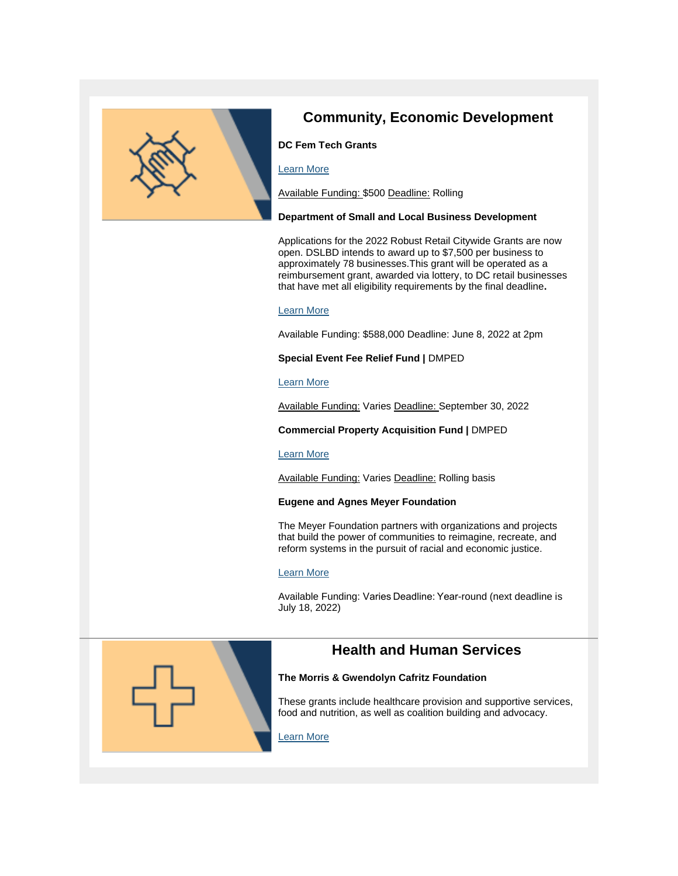

# **Community, Economic Development**

## **DC Fem Tech Grants**

### [Learn More](https://dcfemtech.com/grants?utm_campaign=Inventory&utm_source=hs_email&utm_medium=email&_hsenc=p2ANqtz-9dJpbuTyC49bt1-2un2ygpOqlIrckVwIgD8b8eL4CtEDu8Z6zz3aC39fRTTowE7za-57SC)

Available Funding: \$500 Deadline: Rolling

#### **Department of Small and Local Business Development**

Applications for the 2022 Robust Retail Citywide Grants are now open. DSLBD intends to award up to \$7,500 per business to approximately 78 businesses.This grant will be operated as a reimbursement grant, awarded via lottery, to DC retail businesses that have met all eligibility requirements by the final deadline**.**

## [Learn More](http://chrome-extension/efaidnbmnnnibpcajpcglclefindmkaj/https:/dslbd.dc.gov/sites/default/files/dc/sites/dslbd/page_content/attachments/2022%20Citywide%20Robust%20Retail%20RFA%20Final%204.19.22pdf%5B7%5D.pdf)

Available Funding: \$588,000 Deadline: June 8, 2022 at 2pm

### **Special Event Fee Relief Fund |** DMPED

#### [Learn More](https://dmped.dc.gov/node/1561851)

Available Funding: Varies Deadline: September 30, 2022

**Commercial Property Acquisition Fund |** DMPED

#### [Learn More](https://dmped.dc.gov/node/662952)

Available Funding: Varies Deadline: Rolling basis

#### **Eugene and Agnes Meyer Foundation**

The Meyer Foundation partners with organizations and projects that build the power of communities to reimagine, recreate, and reform systems in the pursuit of racial and economic justice.

## [Learn More](https://meyerfoundation.org/our-grantmaking/#apply)

Available Funding: Varies Deadline: Year-round (next deadline is July 18, 2022)



#### **The Morris & Gwendolyn Cafritz Foundation**

These grants include healthcare provision and supportive services, food and nutrition, as well as coalition building and advocacy.

## [Learn More](https://www.cafritzfoundation.org/apply/funding-priorities/#health)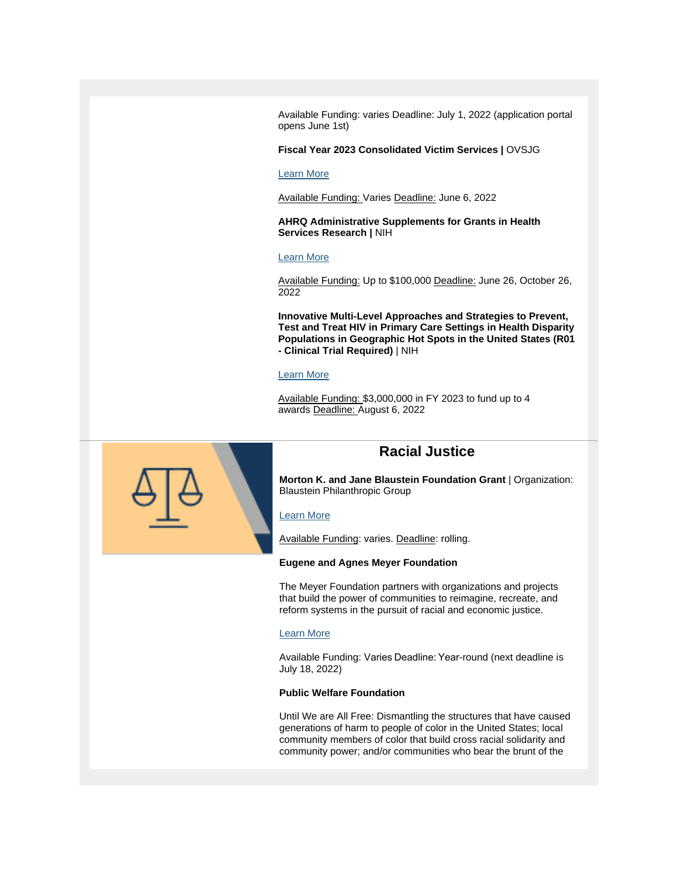Available Funding: varies Deadline: July 1, 2022 (application portal opens June 1st)

#### **Fiscal Year 2023 Consolidated Victim Services |** OVSJG

#### [Learn More](https://communityaffairs.dc.gov/publication/fiscal-year-2023-consolidated-victim-services)

Available Funding: Varies Deadline: June 6, 2022

**AHRQ Administrative Supplements for Grants in Health Services Research |** NIH

#### [Learn More](https://grants.nih.gov/grants/guide/pa-files/PA-22-168.html)

Available Funding: Up to \$100,000 Deadline: June 26, October 26, 2022

**Innovative Multi-Level Approaches and Strategies to Prevent, Test and Treat HIV in Primary Care Settings in Health Disparity Populations in Geographic Hot Spots in the United States (R01 - Clinical Trial Required)** | NIH

#### [Learn More](https://grants.nih.gov/grants/guide/rfa-files/RFA-MD-22-009.html)

Available Funding: \$3,000,000 in FY 2023 to fund up to 4 awards Deadline: August 6, 2022



## **Racial Justice**

**Morton K. and Jane Blaustein Foundation Grant** | Organization: Blaustein Philanthropic Group

#### [Learn More](https://blaufund.org/morton-k-and-jane-blaustein-foundation/)

Available Funding: varies. Deadline: rolling.

#### **Eugene and Agnes Meyer Foundation**

The Meyer Foundation partners with organizations and projects that build the power of communities to reimagine, recreate, and reform systems in the pursuit of racial and economic justice.

#### [Learn More](https://meyerfoundation.org/our-grantmaking/#apply)

Available Funding: Varies Deadline: Year-round (next deadline is July 18, 2022)

#### **Public Welfare Foundation**

Until We are All Free: Dismantling the structures that have caused generations of harm to people of color in the United States; local community members of color that build cross racial solidarity and community power; and/or communities who bear the brunt of the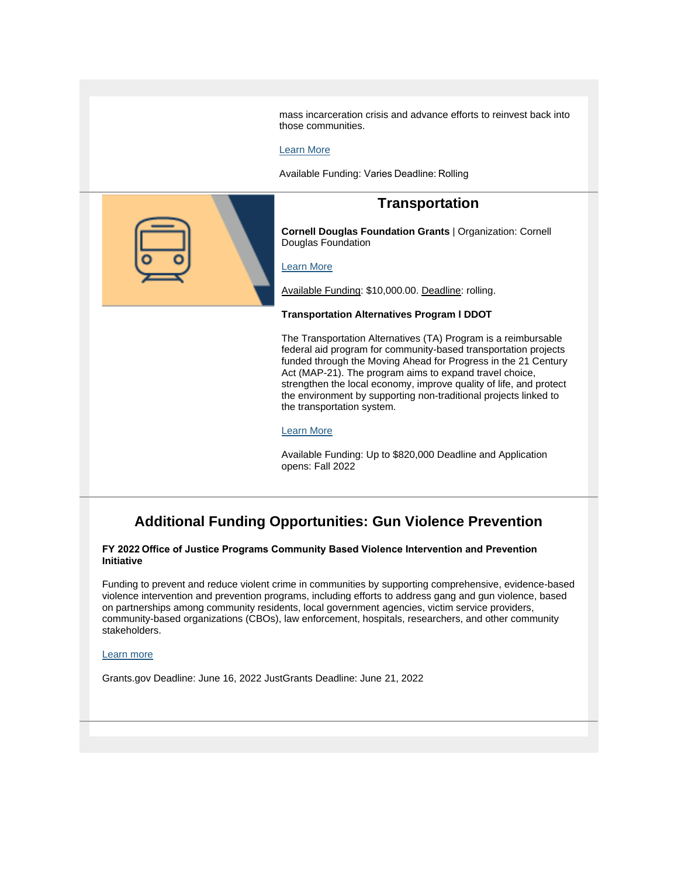mass incarceration crisis and advance efforts to reinvest back into those communities.

#### [Learn More](https://www.publicwelfare.org/grants/apply-for-a-grant/)

Available Funding: Varies Deadline: Rolling



## **Transportation**

**Cornell Douglas Foundation Grants** | Organization: Cornell Douglas Foundation

### [Learn More](https://cornelldouglas.org/apply/)

Available Funding: \$10,000.00. Deadline: rolling.

#### **Transportation Alternatives Program l DDOT**

The Transportation Alternatives (TA) Program is a reimbursable federal aid program for community-based transportation projects funded through the Moving Ahead for Progress in the 21 Century Act (MAP-21). The program aims to expand travel choice, strengthen the local economy, improve quality of life, and protect the environment by supporting non-traditional projects linked to the transportation system.

#### [Learn More](https://ddot.dc.gov/page/transportation-alternatives-program)

Available Funding: Up to \$820,000 Deadline and Application opens: Fall 2022

# **Additional Funding Opportunities: Gun Violence Prevention**

**FY 2022 Office of Justice Programs Community Based Violence Intervention and Prevention Initiative**

Funding to prevent and reduce violent crime in communities by supporting comprehensive, evidence-based violence intervention and prevention programs, including efforts to address gang and gun violence, based on partnerships among community residents, local government agencies, victim service providers, community-based organizations (CBOs), law enforcement, hospitals, researchers, and other community stakeholders.

#### [Learn more](http://chrome-extension/efaidnbmnnnibpcajpcglclefindmkaj/https:/bja.ojp.gov/funding/O-BJA-2022-171282.pdf)

Grants.gov Deadline: June 16, 2022 JustGrants Deadline: June 21, 2022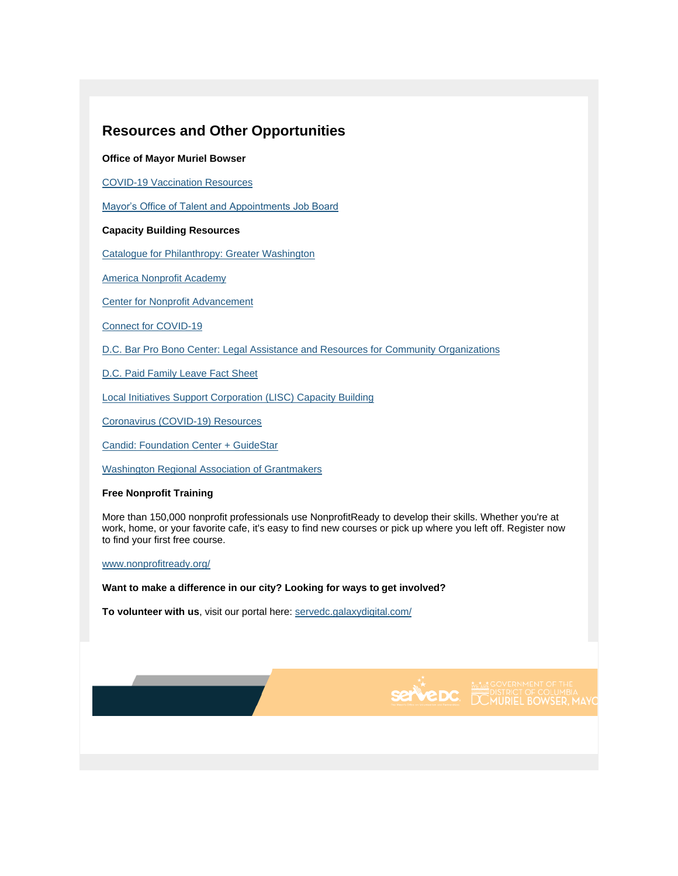## **Resources and Other Opportunities**

#### **Office of Mayor Muriel Bowser**

[COVID-19 Vaccination Resources](https://coronavirus.dc.gov/vaccinatedc)

[Mayor's Office of Talent and Appointments Job Board](https://mota.dc.gov/node/1158821)

### **Capacity Building Resources**

[Catalogue for Philanthropy: Greater Washington](https://lnks.gd/l/eyJhbGciOiJIUzI1NiJ9.eyJidWxsZXRpbl9saW5rX2lkIjoyMDMsInVyaSI6ImJwMjpjbGljayIsImJ1bGxldGluX2lkIjoiMjAyMTAyMTIuMzUxOTM0MDEiLCJ1cmwiOiJodHRwczovL3d3dy5jZnAtZGMub3JnL2NmcGRjL2Fib3V0LnBocCJ9.A2mkhXrz_OIZB_Fi8s9oVh3OYFCA9CuKQCIzEpqS3Uc/s/971584955/br/97568704961-l)

[America Nonprofit](https://lnks.gd/l/eyJhbGciOiJIUzI1NiJ9.eyJidWxsZXRpbl9saW5rX2lkIjoyMDQsInVyaSI6ImJwMjpjbGljayIsImJ1bGxldGluX2lkIjoiMjAyMTAyMTIuMzUxOTM0MDEiLCJ1cmwiOiJodHRwczovL2FtZXJpY2Fubm9ucHJvZml0YWNhZGVteS5jb20vIn0.9KtN45MGqQ8ULwwfT-znO7uioo1B60eyw5LCJ9GMBD0/s/971584955/br/97568704961-l) Academy

[Center for Nonprofit Advancement](https://lnks.gd/l/eyJhbGciOiJIUzI1NiJ9.eyJidWxsZXRpbl9saW5rX2lkIjoyMDUsInVyaSI6ImJwMjpjbGljayIsImJ1bGxldGluX2lkIjoiMjAyMTAyMTIuMzUxOTM0MDEiLCJ1cmwiOiJodHRwczovL3d3dy5ub25wcm9maXRhZHZhbmNlbWVudC5vcmcvIn0.F2LTKpIS09NgaZHcjumjhL_umynDORYUyDbSE8QOGGw/s/971584955/br/97568704961-l)

[Connect for COVID-19](https://lnks.gd/l/eyJhbGciOiJIUzI1NiJ9.eyJidWxsZXRpbl9saW5rX2lkIjoyMDYsInVyaSI6ImJwMjpjbGljayIsImJ1bGxldGluX2lkIjoiMjAyMTAyMTIuMzUxOTM0MDEiLCJ1cmwiOiJodHRwczovL3d3dy5kaGNwcm9qZWN0Lm9yZy8ifQ._MyBZtTpou-UvIWyl8ef2mehvxXqTZy83fTC_oqdgAI/s/971584955/br/97568704961-l)

[D.C. Bar Pro Bono Center: Legal Assistance and Resources for Community Organizations](https://lnks.gd/l/eyJhbGciOiJIUzI1NiJ9.eyJidWxsZXRpbl9saW5rX2lkIjoyMDcsInVyaSI6ImJwMjpjbGljayIsImJ1bGxldGluX2lkIjoiMjAyMTAyMTIuMzUxOTM0MDEiLCJ1cmwiOiJodHRwOi8vd3d3Lmxhd2hlbHAub3JnL2RjL2NlZCJ9.I561f3kxXmVnmgnv-E_XRxl_TGqkKzg0N3eP6WwiKoU/s/971584955/br/97568704961-l)

[D.C. Paid Family Leave Fact Sheet](https://www.lawhelp.org/files/7C92C43F-9283-A7E0-5931-E57134E903FB/attachments/30A9DE8C-D44E-41B4-8D8D-4D34A4FBE871/d.c.-paid-family-leave-workplace-navigators-fact-sheet-for-employers.pdf)

[Local Initiatives Support Corporation \(LISC\) Capacity Building](https://www.lisc.org/our-model/capacity-building/)

[Coronavirus \(COVID-19\) Resources](https://lnks.gd/l/eyJhbGciOiJIUzI1NiJ9.eyJidWxsZXRpbl9saW5rX2lkIjoyMTAsInVyaSI6ImJwMjpjbGljayIsImJ1bGxldGluX2lkIjoiMjAyMTAyMTIuMzUxOTM0MDEiLCJ1cmwiOiJodHRwczovL2Nvcm9uYXZpcnVzLmRjLmdvdi9wYWdlL2Nvcm9uYXZpcnVzLWNvdmlkLTE5LXJlc291cmNlcyJ9.ovuOlbe0SVGMZXNu3LWSUyEA6yypl6CauoEa02Jb7cU/s/971584955/br/97568704961-l)

[Candid: Foundation Center + GuideStar](https://lnks.gd/l/eyJhbGciOiJIUzI1NiJ9.eyJidWxsZXRpbl9saW5rX2lkIjoyMTEsInVyaSI6ImJwMjpjbGljayIsImJ1bGxldGluX2lkIjoiMjAyMTAyMTIuMzUxOTM0MDEiLCJ1cmwiOiJodHRwczovL2NhbmRpZC5vcmcvP2ZjcmVmPWxyIn0.bvN_Sq87VKITeV4oSYsBflnmJQuEAlnwKHMt2TUmMAo/s/971584955/br/97568704961-l)

[Washington Regional Association of Grantmakers](https://www.washingtongrantmakers.org/common-grant-application)

#### **Free Nonprofit Training**

More than 150,000 nonprofit professionals use NonprofitReady to develop their skills. Whether you're at work, home, or your favorite cafe, it's easy to find new courses or pick up where you left off. Register now to find your first free course.

[www.nonprofitready.org/](https://www.nonprofitready.org/)

**Want to make a difference in our city? Looking for ways to get involved?**

**To volunteer with us**, visit our portal here: [servedc.galaxydigital.com/](https://servedc.galaxydigital.com/)



**SEPVEDC.** DE NOT DISTRICT OF COLUMBIA